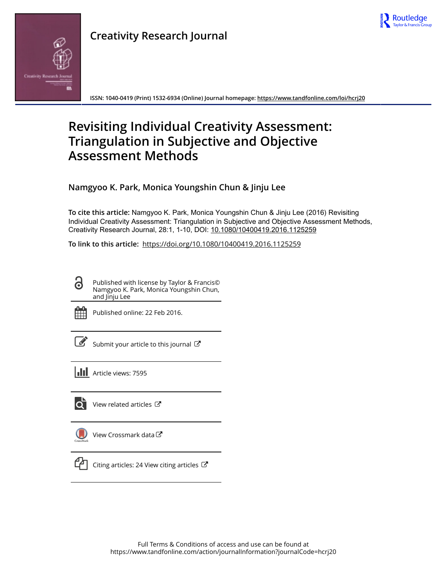



**ISSN: 1040-0419 (Print) 1532-6934 (Online) Journal homepage:<https://www.tandfonline.com/loi/hcrj20>**

# **Revisiting Individual Creativity Assessment: Triangulation in Subjective and Objective Assessment Methods**

**Namgyoo K. Park, Monica Youngshin Chun & Jinju Lee**

**To cite this article:** Namgyoo K. Park, Monica Youngshin Chun & Jinju Lee (2016) Revisiting Individual Creativity Assessment: Triangulation in Subjective and Objective Assessment Methods, Creativity Research Journal, 28:1, 1-10, DOI: [10.1080/10400419.2016.1125259](https://www.tandfonline.com/action/showCitFormats?doi=10.1080/10400419.2016.1125259)

**To link to this article:** <https://doi.org/10.1080/10400419.2016.1125259>

Published with license by Taylor & Francis© Namgyoo K. Park, Monica Youngshin Chun, and Jinju Lee



Published online: 22 Feb 2016.

[Submit your article to this journal](https://www.tandfonline.com/action/authorSubmission?journalCode=hcrj20&show=instructions)  $\mathbb{Z}$ 

**III** Article views: 7595



 $\bullet$  [View related articles](https://www.tandfonline.com/doi/mlt/10.1080/10400419.2016.1125259)  $\sigma$ 

[View Crossmark data](http://crossmark.crossref.org/dialog/?doi=10.1080/10400419.2016.1125259&domain=pdf&date_stamp=2016-02-22)



 $\Box$  [Citing articles: 24 View citing articles](https://www.tandfonline.com/doi/citedby/10.1080/10400419.2016.1125259#tabModule)  $\Box$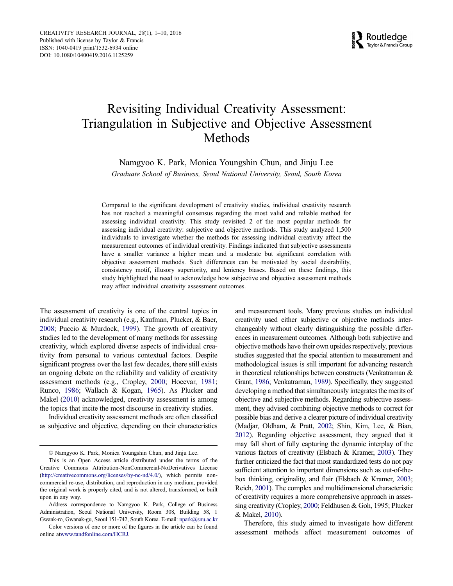## Revisiting Individual Creativity Assessment: Triangulation in Subjective and Objective Assessment Methods

Namgyoo K. Park, Monica Youngshin Chun, and Jinju Lee

Graduate School of Business, Seoul National University, Seoul, South Korea

Compared to the significant development of creativity studies, individual creativity research has not reached a meaningful consensus regarding the most valid and reliable method for assessing individual creativity. This study revisited 2 of the most popular methods for assessing individual creativity: subjective and objective methods. This study analyzed 1,500 individuals to investigate whether the methods for assessing individual creativity affect the measurement outcomes of individual creativity. Findings indicated that subjective assessments have a smaller variance a higher mean and a moderate but significant correlation with objective assessment methods. Such differences can be motivated by social desirability, consistency motif, illusory superiority, and leniency biases. Based on these findings, this study highlighted the need to acknowledge how subjective and objective assessment methods may affect individual creativity assessment outcomes.

The assessment of creativity is one of the central topics in individual creativity research (e.g., Kaufman, Plucker, & Baer, [2008](#page-9-0); Puccio & Murdock, [1999\)](#page-10-0). The growth of creativity studies led to the development of many methods for assessing creativity, which explored diverse aspects of individual creativity from personal to various contextual factors. Despite significant progress over the last few decades, there still exists an ongoing debate on the reliability and validity of creativity assessment methods (e.g., Cropley, [2000](#page-8-0); Hocevar, [1981](#page-9-0); Runco, [1986;](#page-10-0) Wallach & Kogan, [1965\)](#page-10-0). As Plucker and Makel ([2010](#page-10-0)) acknowledged, creativity assessment is among the topics that incite the most discourse in creativity studies.

Individual creativity assessment methods are often classified as subjective and objective, depending on their characteristics

Color versions of one or more of the figures in the article can be found online at[www.tandfonline.com/HCRJ](http://www.tandfonline.com/HCRJ).

and measurement tools. Many previous studies on individual creativity used either subjective or objective methods interchangeably without clearly distinguishing the possible differences in measurement outcomes. Although both subjective and objective methods have their own upsides respectively, previous studies suggested that the special attention to measurement and methodological issues is still important for advancing research in theoretical relationships between constructs (Venkatraman & Grant, [1986;](#page-10-0) Venkatraman, [1989\)](#page-10-0). Specifically, they suggested developing a method that simultaneously integrates the merits of objective and subjective methods. Regarding subjective assessment, they advised combining objective methods to correct for possible bias and derive a clearer picture of individual creativity (Madjar, Oldham, & Pratt, [2002;](#page-9-0) Shin, Kim, Lee, & Bian, [2012](#page-10-0)). Regarding objective assessment, they argued that it may fall short of fully capturing the dynamic interplay of the various factors of creativity (Elsbach & Kramer, [2003\)](#page-9-0). They further criticized the fact that most standardized tests do not pay sufficient attention to important dimensions such as out-of-thebox thinking, originality, and flair (Elsbach & Kramer, [2003](#page-9-0); Reich, [2001\)](#page-10-0). The complex and multidimensional characteristic of creativity requires a more comprehensive approach in assessing creativity (Cropley, [2000](#page-8-0); Feldhusen & Goh, 1995; Plucker & Makel, [2010\)](#page-10-0).

Therefore, this study aimed to investigate how different assessment methods affect measurement outcomes of

<sup>©</sup> Namgyoo K. Park, Monica Youngshin Chun, and Jinju Lee.

This is an Open Access article distributed under the terms of the Creative Commons Attribution-NonCommercial-NoDerivatives License [\(http://creativecommons.org/licenses/by-nc-nd/4.0/\)](http://creativecommons.org/licenses/by-nc-nd/4.0/), which permits noncommercial re-use, distribution, and reproduction in any medium, provided the original work is properly cited, and is not altered, transformed, or built upon in any way.

Address correspondence to Namgyoo K. Park, College of Business Administration, Seoul National University, Room 308, Building 58, 1 Gwank-ro, Gwanak-gu, Seoul 151-742, South Korea. E-mail: npark@snu.ac.kr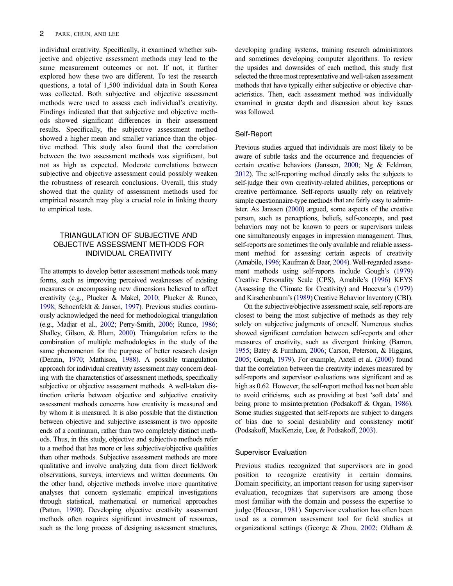individual creativity. Specifically, it examined whether subjective and objective assessment methods may lead to the same measurement outcomes or not. If not, it further explored how these two are different. To test the research questions, a total of 1,500 individual data in South Korea was collected. Both subjective and objective assessment methods were used to assess each individual's creativity. Findings indicated that that subjective and objective methods showed significant differences in their assessment results. Specifically, the subjective assessment method showed a higher mean and smaller variance than the objective method. This study also found that the correlation between the two assessment methods was significant, but not as high as expected. Moderate correlations between subjective and objective assessment could possibly weaken the robustness of research conclusions. Overall, this study showed that the quality of assessment methods used for empirical research may play a crucial role in linking theory to empirical tests.

## TRIANGULATION OF SUBJECTIVE AND OBJECTIVE ASSESSMENT METHODS FOR INDIVIDUAL CREATIVITY

The attempts to develop better assessment methods took many forms, such as improving perceived weaknesses of existing measures or encompassing new dimensions believed to affect creativity (e.g., Plucker & Makel, [2010;](#page-10-0) Plucker & Runco, [1998;](#page-10-0) Schoenfeldt & Jansen, [1997](#page-10-0)). Previous studies continuously acknowledged the need for methodological triangulation (e.g., Madjar et al., [2002;](#page-9-0) Perry-Smith, [2006;](#page-10-0) Runco, [1986](#page-10-0); Shalley, Gilson, & Blum, [2000\)](#page-10-0). Triangulation refers to the combination of multiple methodologies in the study of the same phenomenon for the purpose of better research design (Denzin, [1970;](#page-9-0) Mathison, [1988](#page-9-0)). A possible triangulation approach for individual creativity assessment may concern dealing with the characteristics of assessment methods, specifically subjective or objective assessment methods. A well-taken distinction criteria between objective and subjective creativity assessment methods concerns how creativity is measured and by whom it is measured. It is also possible that the distinction between objective and subjective assessment is two opposite ends of a continuum, rather than two completely distinct methods. Thus, in this study, objective and subjective methods refer to a method that has more or less subjective/objective qualities than other methods. Subjective assessment methods are more qualitative and involve analyzing data from direct fieldwork observations, surveys, interviews and written documents. On the other hand, objective methods involve more quantitative analyses that concern systematic empirical investigations through statistical, mathematical or numerical approaches (Patton, [1990](#page-9-0)). Developing objective creativity assessment methods often requires significant investment of resources, such as the long process of designing assessment structures,

developing grading systems, training research administrators and sometimes developing computer algorithms. To review the upsides and downsides of each method, this study first selected the three most representative and well-taken assessment methods that have typically either subjective or objective characteristics. Then, each assessment method was individually examined in greater depth and discussion about key issues was followed.

## Self-Report

Previous studies argued that individuals are most likely to be aware of subtle tasks and the occurrence and frequencies of certain creative behaviors (Janssen, [2000](#page-9-0); Ng & Feldman, [2012](#page-9-0)). The self-reporting method directly asks the subjects to self-judge their own creativity-related abilities, perceptions or creative performance. Self-reports usually rely on relatively simple questionnaire-type methods that are fairly easy to administer. As Janssen [\(2000\)](#page-9-0) argued, some aspects of the creative person, such as perceptions, beliefs, self-concepts, and past behaviors may not be known to peers or supervisors unless one simultaneously engages in impression management. Thus, self-reports are sometimes the only available and reliable assessment method for assessing certain aspects of creativity (Amabile, [1996;](#page-8-0) Kaufman & Baer, [2004](#page-9-0)). Well-regarded assessment methods using self-reports include Gough's ([1979\)](#page-9-0) Creative Personality Scale (CPS), Amabile's ([1996\)](#page-8-0) KEYS (Assessing the Climate for Creativity) and Hocevar's ([1979\)](#page-9-0) and Kirschenbaum's [\(1989](#page-9-0)) Creative Behavior Inventory (CBI).

On the subjective/objective assessment scale, self-reports are closest to being the most subjective of methods as they rely solely on subjective judgments of oneself. Numerous studies showed significant correlation between self-reports and other measures of creativity, such as divergent thinking (Barron, [1955](#page-8-0); Batey & Furnham, [2006](#page-8-0); Carson, Peterson, & Higgins, [2005](#page-8-0); Gough, [1979](#page-9-0)). For example, Axtell et al. [\(2000](#page-8-0)) found that the correlation between the creativity indexes measured by self-reports and supervisor evaluations was significant and as high as 0.62. However, the self-report method has not been able to avoid criticisms, such as providing at best 'soft data' and being prone to misinterpretation (Podsakoff & Organ, [1986\)](#page-10-0). Some studies suggested that self-reports are subject to dangers of bias due to social desirability and consistency motif (Podsakoff, MacKenzie, Lee, & Podsakoff, [2003\)](#page-10-0).

#### Supervisor Evaluation

Previous studies recognized that supervisors are in good position to recognize creativity in certain domains. Domain specificity, an important reason for using supervisor evaluation, recognizes that supervisors are among those most familiar with the domain and possess the expertise to judge (Hocevar, [1981\)](#page-9-0). Supervisor evaluation has often been used as a common assessment tool for field studies at organizational settings (George & Zhou, [2002;](#page-9-0) Oldham &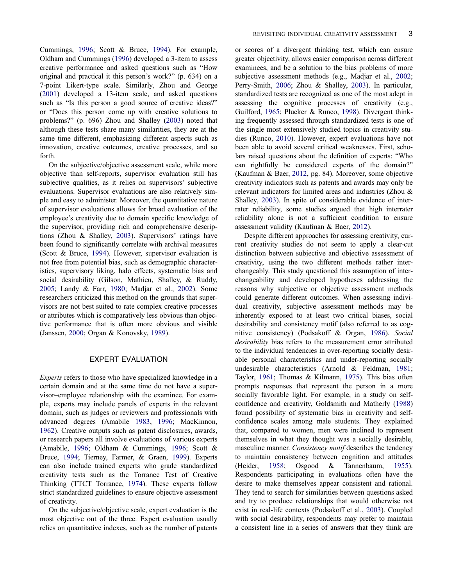Cummings, [1996;](#page-9-0) Scott & Bruce, [1994\)](#page-10-0). For example, Oldham and Cummings ([1996\)](#page-9-0) developed a 3-item to assess creative performance and asked questions such as "How original and practical it this person's work?" (p. 634) on a 7-point Likert-type scale. Similarly, Zhou and George [\(2001\)](#page-10-0) developed a 13-item scale, and asked questions such as "Is this person a good source of creative ideas?" or "Does this person come up with creative solutions to problems?" (p. 696) Zhou and Shalley ([2003\)](#page-10-0) noted that although these tests share many similarities, they are at the same time different, emphasizing different aspects such as innovation, creative outcomes, creative processes, and so forth.

On the subjective/objective assessment scale, while more objective than self-reports, supervisor evaluation still has subjective qualities, as it relies on supervisors' subjective evaluations. Supervisor evaluations are also relatively simple and easy to administer. Moreover, the quantitative nature of supervisor evaluations allows for broad evaluation of the employee's creativity due to domain specific knowledge of the supervisor, providing rich and comprehensive descriptions (Zhou & Shalley, [2003](#page-10-0)). Supervisors' ratings have been found to significantly correlate with archival measures (Scott & Bruce, [1994\)](#page-10-0). However, supervisor evaluation is not free from potential bias, such as demographic characteristics, supervisory liking, halo effects, systematic bias and social desirability (Gilson, Mathieu, Shalley, & Ruddy, [2005;](#page-9-0) Landy & Farr, [1980](#page-9-0); Madjar et al., [2002\)](#page-9-0). Some researchers criticized this method on the grounds that supervisors are not best suited to rate complex creative processes or attributes which is comparatively less obvious than objective performance that is often more obvious and visible (Janssen, [2000](#page-9-0); Organ & Konovsky, [1989\)](#page-9-0).

## EXPERT EVALUATION

Experts refers to those who have specialized knowledge in a certain domain and at the same time do not have a supervisor–employee relationship with the examinee. For example, experts may include panels of experts in the relevant domain, such as judges or reviewers and professionals with advanced degrees (Amabile [1983,](#page-8-0) [1996](#page-8-0); MacKinnon, [1962\)](#page-9-0). Creative outputs such as patent disclosures, awards, or research papers all involve evaluations of various experts (Amabile, [1996](#page-8-0); Oldham & Cummings, [1996](#page-9-0); Scott & Bruce, [1994](#page-10-0); Tierney, Farmer, & Graen, [1999\)](#page-10-0). Experts can also include trained experts who grade standardized creativity tests such as the Torrance Test of Creative Thinking (TTCT Torrance, [1974\)](#page-10-0). These experts follow strict standardized guidelines to ensure objective assessment of creativity.

On the subjective/objective scale, expert evaluation is the most objective out of the three. Expert evaluation usually relies on quantitative indexes, such as the number of patents or scores of a divergent thinking test, which can ensure greater objectivity, allows easier comparison across different examinees, and be a solution to the bias problems of more subjective assessment methods (e.g., Madjar et al., [2002](#page-9-0); Perry-Smith, [2006](#page-10-0); Zhou & Shalley, [2003\)](#page-10-0). In particular, standardized tests are recognized as one of the most adept in assessing the cognitive processes of creativity (e.g., Guilford, [1965](#page-9-0); Plucker & Runco, [1998](#page-10-0)). Divergent thinking frequently assessed through standardized tests is one of the single most extensively studied topics in creativity studies (Runco, [2010](#page-10-0)). However, expert evaluations have not been able to avoid several critical weaknesses. First, scholars raised questions about the definition of experts: "Who can rightfully be considered experts of the domain?" (Kaufman & Baer, [2012,](#page-9-0) pg. 84). Moreover, some objective creativity indicators such as patents and awards may only be relevant indicators for limited areas and industries (Zhou & Shalley, [2003\)](#page-10-0). In spite of considerable evidence of interrater reliability, some studies argued that high interrater reliability alone is not a sufficient condition to ensure assessment validity (Kaufman & Baer, [2012\)](#page-9-0).

Despite different approaches for assessing creativity, current creativity studies do not seem to apply a clear-cut distinction between subjective and objective assessment of creativity, using the two different methods rather interchangeably. This study questioned this assumption of interchangeability and developed hypotheses addressing the reasons why subjective or objective assessment methods could generate different outcomes. When assessing individual creativity, subjective assessment methods may be inherently exposed to at least two critical biases, social desirability and consistency motif (also referred to as cog-nitive consistency) (Podsakoff & Organ, [1986](#page-10-0)). Social desirability bias refers to the measurement error attributed to the individual tendencies in over-reporting socially desirable personal characteristics and under-reporting socially undesirable characteristics (Arnold & Feldman, [1981](#page-8-0); Taylor, [1961;](#page-10-0) Thomas & Kilmann, [1975](#page-10-0)). This bias often prompts responses that represent the person in a more socially favorable light. For example, in a study on selfconfidence and creativity, Goldsmith and Matherly ([1988\)](#page-9-0) found possibility of systematic bias in creativity and selfconfidence scales among male students. They explained that, compared to women, men were inclined to represent themselves in what they thought was a socially desirable, masculine manner. Consistency motif describes the tendency to maintain consistency between cognition and attitudes (Heider, [1958;](#page-9-0) Osgood & Tannenbaum, [1955](#page-9-0)). Respondents participating in evaluations often have the desire to make themselves appear consistent and rational. They tend to search for similarities between questions asked and try to produce relationships that would otherwise not exist in real-life contexts (Podsakoff et al., [2003](#page-10-0)). Coupled with social desirability, respondents may prefer to maintain a consistent line in a series of answers that they think are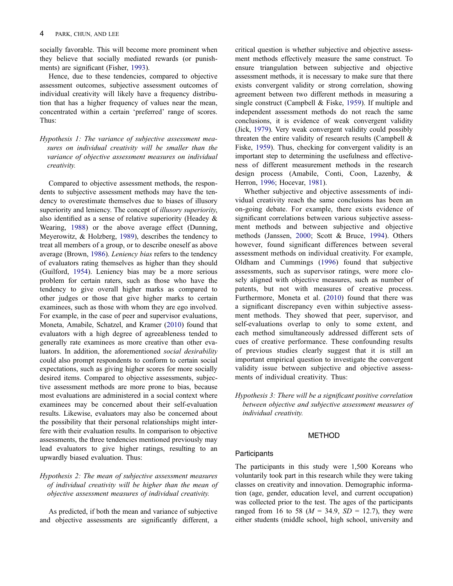socially favorable. This will become more prominent when they believe that socially mediated rewards (or punishments) are significant (Fisher, [1993\)](#page-9-0).

Hence, due to these tendencies, compared to objective assessment outcomes, subjective assessment outcomes of individual creativity will likely have a frequency distribution that has a higher frequency of values near the mean, concentrated within a certain 'preferred' range of scores. Thus:

Hypothesis 1: The variance of subjective assessment measures on individual creativity will be smaller than the variance of objective assessment measures on individual creativity.

Compared to objective assessment methods, the respondents to subjective assessment methods may have the tendency to overestimate themselves due to biases of illusory superiority and leniency. The concept of *illusory superiority*, also identified as a sense of relative superiority (Headey & Wearing, [1988\)](#page-9-0) or the above average effect (Dunning, Meyerowitz, & Holzberg, [1989\)](#page-9-0), describes the tendency to treat all members of a group, or to describe oneself as above average (Brown, [1986](#page-8-0)). Leniency bias refers to the tendency of evaluators rating themselves as higher than they should (Guilford, [1954\)](#page-9-0). Leniency bias may be a more serious problem for certain raters, such as those who have the tendency to give overall higher marks as compared to other judges or those that give higher marks to certain examinees, such as those with whom they are ego involved. For example, in the case of peer and supervisor evaluations, Moneta, Amabile, Schatzel, and Kramer [\(2010](#page-9-0)) found that evaluators with a high degree of agreeableness tended to generally rate examinees as more creative than other evaluators. In addition, the aforementioned social desirability could also prompt respondents to conform to certain social expectations, such as giving higher scores for more socially desired items. Compared to objective assessments, subjective assessment methods are more prone to bias, because most evaluations are administered in a social context where examinees may be concerned about their self-evaluation results. Likewise, evaluators may also be concerned about the possibility that their personal relationships might interfere with their evaluation results. In comparison to objective assessments, the three tendencies mentioned previously may lead evaluators to give higher ratings, resulting to an upwardly biased evaluation. Thus:

## Hypothesis 2: The mean of subjective assessment measures of individual creativity will be higher than the mean of objective assessment measures of individual creativity.

As predicted, if both the mean and variance of subjective and objective assessments are significantly different, a critical question is whether subjective and objective assessment methods effectively measure the same construct. To ensure triangulation between subjective and objective assessment methods, it is necessary to make sure that there exists convergent validity or strong correlation, showing agreement between two different methods in measuring a single construct (Campbell & Fiske, [1959](#page-8-0)). If multiple and independent assessment methods do not reach the same conclusions, it is evidence of weak convergent validity (Jick, [1979](#page-9-0)). Very weak convergent validity could possibly threaten the entire validity of research results (Campbell & Fiske, [1959\)](#page-8-0). Thus, checking for convergent validity is an important step to determining the usefulness and effectiveness of different measurement methods in the research design process (Amabile, Conti, Coon, Lazenby, & Herron, [1996;](#page-8-0) Hocevar, [1981\)](#page-9-0).

Whether subjective and objective assessments of individual creativity reach the same conclusions has been an on-going debate. For example, there exists evidence of significant correlations between various subjective assessment methods and between subjective and objective methods (Janssen, [2000](#page-9-0); Scott & Bruce, [1994](#page-10-0)). Others however, found significant differences between several assessment methods on individual creativity. For example, Oldham and Cummings ([1996](#page-9-0)) found that subjective assessments, such as supervisor ratings, were more closely aligned with objective measures, such as number of patents, but not with measures of creative process. Furthermore, Moneta et al. [\(2010](#page-9-0)) found that there was a significant discrepancy even within subjective assessment methods. They showed that peer, supervisor, and self-evaluations overlap to only to some extent, and each method simultaneously addressed different sets of cues of creative performance. These confounding results of previous studies clearly suggest that it is still an important empirical question to investigate the convergent validity issue between subjective and objective assessments of individual creativity. Thus:

Hypothesis 3: There will be a significant positive correlation between objective and subjective assessment measures of individual creativity.

## METHOD

#### **Participants**

The participants in this study were 1,500 Koreans who voluntarily took part in this research while they were taking classes on creativity and innovation. Demographic information (age, gender, education level, and current occupation) was collected prior to the test. The ages of the participants ranged from 16 to 58 ( $M = 34.9$ ,  $SD = 12.7$ ), they were either students (middle school, high school, university and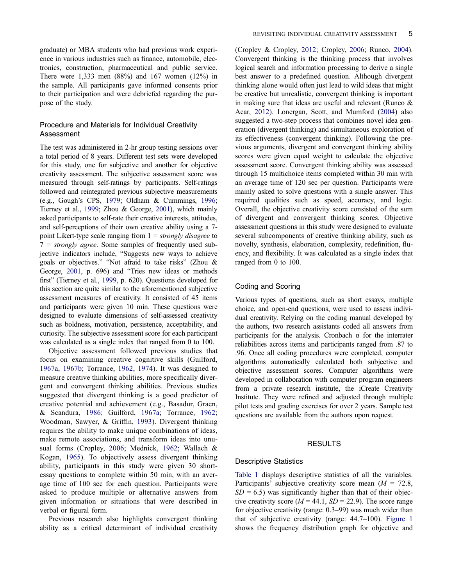graduate) or MBA students who had previous work experience in various industries such as finance, automobile, electronics, construction, pharmaceutical and public service. There were 1,333 men (88%) and 167 women (12%) in the sample. All participants gave informed consents prior to their participation and were debriefed regarding the purpose of the study.

## Procedure and Materials for Individual Creativity Assessment

The test was administered in 2-hr group testing sessions over a total period of 8 years. Different test sets were developed for this study, one for subjective and another for objective creativity assessment. The subjective assessment score was measured through self-ratings by participants. Self-ratings followed and reintegrated previous subjective measurements (e.g., Gough's CPS, [1979;](#page-9-0) Oldham & Cummings, [1996](#page-9-0); Tierney et al., [1999](#page-10-0); Zhou & George, [2001](#page-10-0)), which mainly asked participants to self-rate their creative interests, attitudes, and self-perceptions of their own creative ability using a 7 point Likert-type scale ranging from  $1 =$  strongly disagree to  $7 = strongly agree.$  Some samples of frequently used subjective indicators include, "Suggests new ways to achieve goals or objectives." "Not afraid to take risks" (Zhou & George, [2001](#page-10-0), p. 696) and "Tries new ideas or methods first" (Tierney et al., [1999](#page-10-0), p. 620). Questions developed for this section are quite similar to the aforementioned subjective assessment measures of creativity. It consisted of 45 items and participants were given 10 min. These questions were designed to evaluate dimensions of self-assessed creativity such as boldness, motivation, persistence, acceptability, and curiosity. The subjective assessment score for each participant was calculated as a single index that ranged from 0 to 100.

Objective assessment followed previous studies that focus on examining creative cognitive skills (Guilford, [1967a,](#page-9-0) [1967b;](#page-9-0) Torrance, [1962,](#page-10-0) [1974\)](#page-10-0). It was designed to measure creative thinking abilities, more specifically divergent and convergent thinking abilities. Previous studies suggested that divergent thinking is a good predictor of creative potential and achievement (e.g., Basadur, Graen, & Scandura, [1986](#page-8-0); Guilford, [1967a;](#page-9-0) Torrance, [1962](#page-10-0); Woodman, Sawyer, & Griffin, [1993\)](#page-10-0). Divergent thinking requires the ability to make unique combinations of ideas, make remote associations, and transform ideas into unusual forms (Cropley, [2006;](#page-9-0) Mednick, [1962](#page-9-0); Wallach & Kogan, [1965](#page-10-0)). To objectively assess divergent thinking ability, participants in this study were given 30 shortessay questions to complete within 50 min, with an average time of 100 sec for each question. Participants were asked to produce multiple or alternative answers from given information or situations that were described in verbal or figural form.

Previous research also highlights convergent thinking ability as a critical determinant of individual creativity (Cropley & Cropley, [2012;](#page-9-0) Cropley, [2006;](#page-9-0) Runco, [2004](#page-10-0)). Convergent thinking is the thinking process that involves logical search and information processing to derive a single best answer to a predefined question. Although divergent thinking alone would often just lead to wild ideas that might be creative but unrealistic, convergent thinking is important in making sure that ideas are useful and relevant (Runco & Acar, [2012](#page-10-0)). Lonergan, Scott, and Mumford [\(2004\)](#page-9-0) also suggested a two-step process that combines novel idea generation (divergent thinking) and simultaneous exploration of its effectiveness (convergent thinking). Following the previous arguments, divergent and convergent thinking ability scores were given equal weight to calculate the objective assessment score. Convergent thinking ability was assessed through 15 multichoice items completed within 30 min with an average time of 120 sec per question. Participants were mainly asked to solve questions with a single answer. This required qualities such as speed, accuracy, and logic. Overall, the objective creativity score consisted of the sum of divergent and convergent thinking scores. Objective assessment questions in this study were designed to evaluate several subcomponents of creative thinking ability, such as novelty, synthesis, elaboration, complexity, redefinition, fluency, and flexibility. It was calculated as a single index that ranged from 0 to 100.

## Coding and Scoring

Various types of questions, such as short essays, multiple choice, and open-end questions, were used to assess individual creativity. Relying on the coding manual developed by the authors, two research assistants coded all answers from participants for the analysis. Cronbach  $\alpha$  for the interrater reliabilities across items and participants ranged from .87 to .96. Once all coding procedures were completed, computer algorithms automatically calculated both subjective and objective assessment scores. Computer algorithms were developed in collaboration with computer program engineers from a private research institute, the iCreate Creativity Institute. They were refined and adjusted through multiple pilot tests and grading exercises for over 2 years. Sample test questions are available from the authors upon request.

## RESULTS

## Descriptive Statistics

[Table 1](#page-6-0) displays descriptive statistics of all the variables. Participants' subjective creativity score mean  $(M = 72.8,$  $SD = 6.5$ ) was significantly higher than that of their objective creativity score ( $M = 44.1$ ,  $SD = 22.9$ ). The score range for objective creativity (range: 0.3–99) was much wider than that of subjective creativity (range: 44.7–100). [Figure 1](#page-6-0) shows the frequency distribution graph for objective and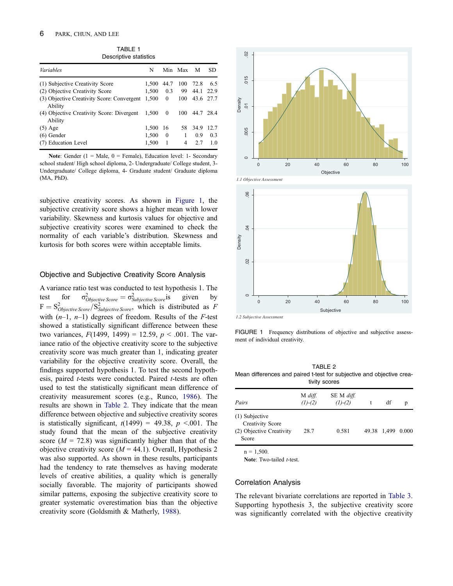TABLE 1 Descriptive statistics

<span id="page-6-0"></span>

| Variables                                             | N     |              | Min Max | M         | SD.            |
|-------------------------------------------------------|-------|--------------|---------|-----------|----------------|
| (1) Subjective Creativity Score                       | 1.500 | 44.7 100     |         | 72.8      | 6.5            |
| (2) Objective Creativity Score                        | 1.500 | 0.3          | 99      | 44.1 22.9 |                |
| (3) Objective Creativity Score: Convergent<br>Ability | 1,500 | 0            | 100     | 43.6 27.7 |                |
| (4) Objective Creativity Score: Divergent<br>Ability  | 1,500 | 0            | 100     |           | 44.7 28.4      |
| $(5)$ Age                                             | 1,500 | - 16         | 58.     | 34.9      | 12.7           |
| $(6)$ Gender                                          | 1,500 | $\mathbf{0}$ | 1       | 0.9       | 0.3            |
| (7) Education Level                                   | 1,500 | 1            | 4       | 27        | 1 <sub>0</sub> |

Note: Gender (1 = Male,  $0$  = Female), Education level: 1- Secondary school student/ High school diploma, 2- Undergraduate/ College student, 3- Undergraduate/ College diploma, 4- Graduate student/ Graduate diploma (MA, PhD).

subjective creativity scores. As shown in Figure 1, the subjective creativity score shows a higher mean with lower variability. Skewness and kurtosis values for objective and subjective creativity scores were examined to check the normality of each variable's distribution. Skewness and kurtosis for both scores were within acceptable limits.

#### Objective and Subjective Creativity Score Analysis

A variance ratio test was conducted to test hypothesis 1. The test for  $\sigma_{Objective Score}^2 = \sigma_{Subjective Score}^2$  is given by  $F = S_{Objective Score}^2 / S_{Subjective Score}^2$ , which is distributed as F with  $(n-1, n-1)$  degrees of freedom. Results of the F-test showed a statistically significant difference between these two variances,  $F(1499, 1499) = 12.59, p < .001$ . The variance ratio of the objective creativity score to the subjective creativity score was much greater than 1, indicating greater variability for the objective creativity score. Overall, the findings supported hypothesis 1. To test the second hypothesis, paired *t*-tests were conducted. Paired *t*-tests are often used to test the statistically significant mean difference of creativity measurement scores (e.g., Runco, [1986\)](#page-10-0). The results are shown in Table 2. They indicate that the mean difference between objective and subjective creativity scores is statistically significant,  $t(1499) = 49.38$ ,  $p < 001$ . The study found that the mean of the subjective creativity score  $(M = 72.8)$  was significantly higher than that of the objective creativity score ( $M = 44.1$ ). Overall, Hypothesis 2 was also supported. As shown in these results, participants had the tendency to rate themselves as having moderate levels of creative abilities, a quality which is generally socially favorable. The majority of participants showed similar patterns, exposing the subjective creativity score to greater systematic overestimation bias than the objective creativity score (Goldsmith & Matherly, [1988\)](#page-9-0).





*1.2 Subjective Assessment*

FIGURE 1 Frequency distributions of objective and subjective assessment of individual creativity.

| TABLE 2                                                               |
|-----------------------------------------------------------------------|
| Mean differences and paired t-test for subjective and objective crea- |
| tivity scores                                                         |

| M diff.<br>$(1)-(2)$ | SE M diff.<br>$(1)$ - $(2)$ | df | р           |
|----------------------|-----------------------------|----|-------------|
| 28.7                 | 0.581                       |    | 0.000       |
|                      |                             |    | 49.38 1.499 |

Note: Two-tailed  $t$ -test.

## Correlation Analysis

The relevant bivariate correlations are reported in [Table 3.](#page-7-0) Supporting hypothesis 3, the subjective creativity score was significantly correlated with the objective creativity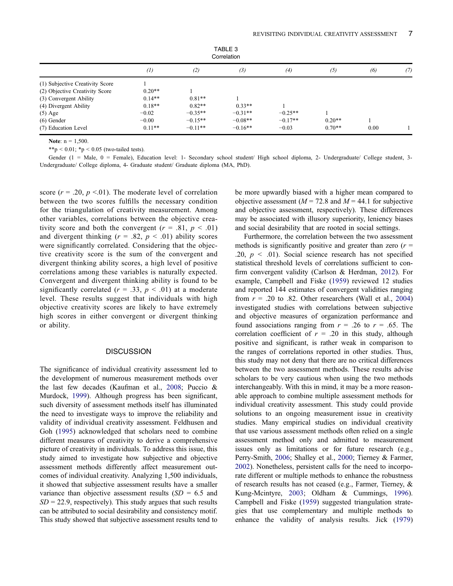<span id="page-7-0"></span>

|                                 |                   |           | IADLE 3<br>Correlation |           |          |      |     |
|---------------------------------|-------------------|-----------|------------------------|-----------|----------|------|-----|
|                                 | $\left( l\right)$ | (2)       | (3)                    | (4)       | (5)      | (6)  | (7) |
| (1) Subjective Creativity Score |                   |           |                        |           |          |      |     |
| (2) Objective Creativity Score  | $0.20**$          |           |                        |           |          |      |     |
| (3) Convergent Ability          | $0.14**$          | $0.81**$  |                        |           |          |      |     |
| (4) Divergent Ability           | $0.18**$          | $0.82**$  | $0.33**$               |           |          |      |     |
| $(5)$ Age                       | $-0.02$           | $-0.35**$ | $-0.31**$              | $-0.25**$ |          |      |     |
| $(6)$ Gender                    | $-0.00$           | $-0.15**$ | $-0.08**$              | $-0.17**$ | $0.20**$ |      |     |
| (7) Education Level             | $0.11**$          | $-0.11**$ | $-0.16**$              | $-0.03$   | $0.70**$ | 0.00 |     |

TABLE 3

Note:  $n = 1,500$ .

\*\*p < 0.01; \*p < 0.05 (two-tailed tests).

Gender (1 = Male, 0 = Female), Education level: 1- Secondary school student/ High school diploma, 2- Undergraduate/ College student, 3-Undergraduate/ College diploma, 4- Graduate student/ Graduate diploma (MA, PhD).

score ( $r = .20$ ,  $p < .01$ ). The moderate level of correlation between the two scores fulfills the necessary condition for the triangulation of creativity measurement. Among other variables, correlations between the objective creativity score and both the convergent ( $r = .81$ ,  $p < .01$ ) and divergent thinking  $(r = .82, p < .01)$  ability scores were significantly correlated. Considering that the objective creativity score is the sum of the convergent and divergent thinking ability scores, a high level of positive correlations among these variables is naturally expected. Convergent and divergent thinking ability is found to be significantly correlated ( $r = .33$ ,  $p < .01$ ) at a moderate level. These results suggest that individuals with high objective creativity scores are likely to have extremely high scores in either convergent or divergent thinking or ability.

#### **DISCUSSION**

The significance of individual creativity assessment led to the development of numerous measurement methods over the last few decades (Kaufman et al., [2008](#page-9-0); Puccio & Murdock, [1999](#page-10-0)). Although progress has been significant, such diversity of assessment methods itself has illuminated the need to investigate ways to improve the reliability and validity of individual creativity assessment. Feldhusen and Goh ([1995\)](#page-9-0) acknowledged that scholars need to combine different measures of creativity to derive a comprehensive picture of creativity in individuals. To address this issue, this study aimed to investigate how subjective and objective assessment methods differently affect measurement outcomes of individual creativity. Analyzing 1,500 individuals, it showed that subjective assessment results have a smaller variance than objective assessment results  $(SD = 6.5$  and  $SD = 22.9$ , respectively). This study argues that such results can be attributed to social desirability and consistency motif. This study showed that subjective assessment results tend to be more upwardly biased with a higher mean compared to objective assessment ( $M = 72.8$  and  $M = 44.1$  for subjective and objective assessment, respectively). These differences may be associated with illusory superiority, leniency biases and social desirability that are rooted in social settings.

Furthermore, the correlation between the two assessment methods is significantly positive and greater than zero  $(r =$ .20,  $p \leq 0.01$ ). Social science research has not specified statistical threshold levels of correlations sufficient to confirm convergent validity (Carlson & Herdman, [2012\)](#page-8-0). For example, Campbell and Fiske ([1959\)](#page-8-0) reviewed 12 studies and reported 144 estimates of convergent validities ranging from  $r = .20$  to .82. Other researchers (Wall et al., [2004\)](#page-10-0) investigated studies with correlations between subjective and objective measures of organization performance and found associations ranging from  $r = .26$  to  $r = .65$ . The correlation coefficient of  $r = .20$  in this study, although positive and significant, is rather weak in comparison to the ranges of correlations reported in other studies. Thus, this study may not deny that there are no critical differences between the two assessment methods. These results advise scholars to be very cautious when using the two methods interchangeably. With this in mind, it may be a more reasonable approach to combine multiple assessment methods for individual creativity assessment. This study could provide solutions to an ongoing measurement issue in creativity studies. Many empirical studies on individual creativity that use various assessment methods often relied on a single assessment method only and admitted to measurement issues only as limitations or for future research (e.g., Perry-Smith, [2006;](#page-10-0) Shalley et al., [2000;](#page-10-0) Tierney & Farmer, [2002\)](#page-10-0). Nonetheless, persistent calls for the need to incorporate different or multiple methods to enhance the robustness of research results has not ceased (e.g., Farmer, Tierney, & Kung-Mcintyre, [2003](#page-9-0); Oldham & Cummings, [1996](#page-9-0)). Campbell and Fiske [\(1959](#page-8-0)) suggested triangulation strategies that use complementary and multiple methods to enhance the validity of analysis results. Jick ([1979\)](#page-9-0)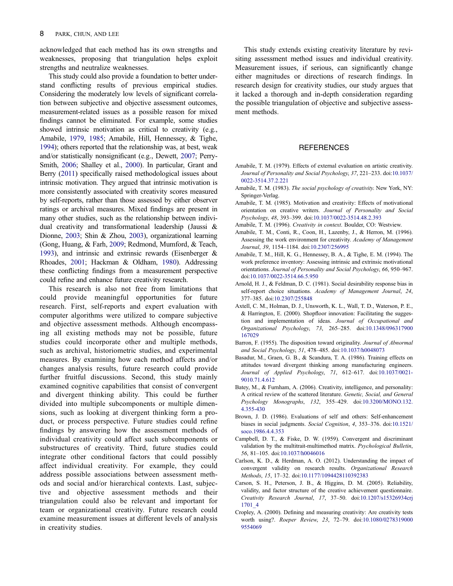<span id="page-8-0"></span>acknowledged that each method has its own strengths and weaknesses, proposing that triangulation helps exploit strengths and neutralize weaknesses.

This study could also provide a foundation to better understand conflicting results of previous empirical studies. Considering the moderately low levels of significant correlation between subjective and objective assessment outcomes, measurement-related issues as a possible reason for mixed findings cannot be eliminated. For example, some studies showed intrinsic motivation as critical to creativity (e.g., Amabile, 1979, 1985; Amabile, Hill, Hennessey, & Tighe, 1994); others reported that the relationship was, at best, weak and/or statistically nonsignificant (e.g., Dewett, [2007;](#page-9-0) Perry-Smith, [2006](#page-10-0); Shalley et al., [2000](#page-10-0)). In particular, Grant and Berry [\(2011\)](#page-9-0) specifically raised methodological issues about intrinsic motivation. They argued that intrinsic motivation is more consistently associated with creativity scores measured by self-reports, rather than those assessed by either observer ratings or archival measures. Mixed findings are present in many other studies, such as the relationship between individual creativity and transformational leadership (Jaussi & Dionne, [2003](#page-9-0); Shin & Zhou, [2003](#page-10-0)), organizational learning (Gong, Huang, & Farh, [2009;](#page-9-0) Redmond, Mumford, & Teach, [1993](#page-10-0)), and intrinsic and extrinsic rewards (Eisenberger & Rhoades, [2001;](#page-9-0) Hackman & Oldham, [1980\)](#page-9-0). Addressing these conflicting findings from a measurement perspective could refine and enhance future creativity research.

This research is also not free from limitations that could provide meaningful opportunities for future research. First, self-reports and expert evaluation with computer algorithms were utilized to compare subjective and objective assessment methods. Although encompassing all existing methods may not be possible, future studies could incorporate other and multiple methods, such as archival, historiometric studies, and experimental measures. By examining how each method affects and/or changes analysis results, future research could provide further fruitful discussions. Second, this study mainly examined cognitive capabilities that consist of convergent and divergent thinking ability. This could be further divided into multiple subcomponents or multiple dimensions, such as looking at divergent thinking form a product, or process perspective. Future studies could refine findings by answering how the assessment methods of individual creativity could affect such subcomponents or substructures of creativity. Third, future studies could integrate other conditional factors that could possibly affect individual creativity. For example, they could address possible associations between assessment methods and social and/or hierarchical contexts. Last, subjective and objective assessment methods and their triangulation could also be relevant and important for team or organizational creativity. Future research could examine measurement issues at different levels of analysis in creativity studies.

This study extends existing creativity literature by revisiting assessment method issues and individual creativity. Measurement issues, if serious, can significantly change either magnitudes or directions of research findings. In research design for creativity studies, our study argues that it lacked a thorough and in-depth consideration regarding the possible triangulation of objective and subjective assessment methods.

#### **REFERENCES**

- Amabile, T. M. (1979). Effects of external evaluation on artistic creativity. Journal of Personality and Social Psychology, 37, 221–233. doi:[10.1037/](http://dx.doi.org/10.1037/0022-3514.37.2.221) [0022-3514.37.2.221](http://dx.doi.org/10.1037/0022-3514.37.2.221)
- Amabile, T. M. (1983). The social psychology of creativity. New York, NY: Springer-Verlag.
- Amabile, T. M. (1985). Motivation and creativity: Effects of motivational orientation on creative writers. Journal of Personality and Social Psychology, 48, 393–399. doi:[10.1037/0022-3514.48.2.393](http://dx.doi.org/10.1037/0022-3514.48.2.393)
- Amabile, T. M. (1996). Creativity in context. Boulder, CO: Westview.
- Amabile, T. M., Conti, R., Coon, H., Lazenby, J., & Herron, M. (1996). Assessing the work environment for creativity. Academy of Management Journal, 39, 1154–1184. doi:[10.2307/256995](http://dx.doi.org/10.2307/256995)
- Amabile, T. M., Hill, K. G., Hennessey, B. A., & Tighe, E. M. (1994). The work preference inventory: Assessing intrinsic and extrinsic motivational orientations. Journal of Personality and Social Psychology, 66, 950–967. doi:[10.1037/0022-3514.66.5.950](http://dx.doi.org/10.1037/0022-3514.66.5.950)
- Arnold, H. J., & Feldman, D. C. (1981). Social desirability response bias in self-report choice situations. Academy of Management Journal, 24, 377–385. doi:[10.2307/255848](http://dx.doi.org/10.2307/255848)
- Axtell, C. M., Holman, D. J., Unsworth, K. L., Wall, T. D., Waterson, P. E., & Harrington, E. (2000). Shopfloor innovation: Facilitating the suggestion and implementation of ideas. Journal of Occupational and Organizational Psychology, 73, 265–285. doi:[10.1348/096317900](http://dx.doi.org/10.1348/096317900167029) [167029](http://dx.doi.org/10.1348/096317900167029)
- Barron, F. (1955). The disposition toward originality. Journal of Abnormal and Social Psychology, 51, 478–485. doi:[10.1037/h0048073](http://dx.doi.org/10.1037/h0048073)
- Basadur, M., Graen, G. B., & Scandura, T. A. (1986). Training effects on attitudes toward divergent thinking among manufacturing engineers. Journal of Applied Psychology, 71, 612–617. doi:[10.1037/0021-](http://dx.doi.org/10.1037/0021-9010.71.4.612) [9010.71.4.612](http://dx.doi.org/10.1037/0021-9010.71.4.612)
- Batey, M., & Furnham, A. (2006). Creativity, intelligence, and personality: A critical review of the scattered literature. Genetic, Social, and General Psychology Monographs, 132, 355–429. doi:[10.3200/MONO.132.](http://dx.doi.org/10.3200/MONO.132.4.355-430) [4.355-430](http://dx.doi.org/10.3200/MONO.132.4.355-430)
- Brown, J. D. (1986). Evaluations of self and others: Self-enhancement biases in social judgments. Social Cognition, 4, 353–376. doi:[10.1521/](http://dx.doi.org/10.1521/soco.1986.4.4.353) [soco.1986.4.4.353](http://dx.doi.org/10.1521/soco.1986.4.4.353)
- Campbell, D. T., & Fiske, D. W. (1959). Convergent and discriminant validation by the multitrait-multimethod matrix. Psychological Bulletin, 56, 81–105. doi:[10.1037/h0046016](http://dx.doi.org/10.1037/h0046016)
- Carlson, K. D., & Herdman, A. O. (2012). Understanding the impact of convergent validity on research results. Organizational Research Methods, 15, 17–32. doi:[10.1177/1094428110392383](http://dx.doi.org/10.1177/1094428110392383)
- Carson, S. H., Peterson, J. B., & Higgins, D. M. (2005). Reliability, validity, and factor structure of the creative achievement questionnaire. Creativity Research Journal, 17, 37–50. doi:[10.1207/s15326934crj](http://dx.doi.org/10.1207/s15326934crj1701%5F4) [1701\\_4](http://dx.doi.org/10.1207/s15326934crj1701%5F4)
- Cropley, A. (2000). Defining and measuring creativity: Are creativity tests worth using?. Roeper Review, 23, 72–79. doi:[10.1080/0278319000](http://dx.doi.org/10.1080/02783190009554069) [9554069](http://dx.doi.org/10.1080/02783190009554069)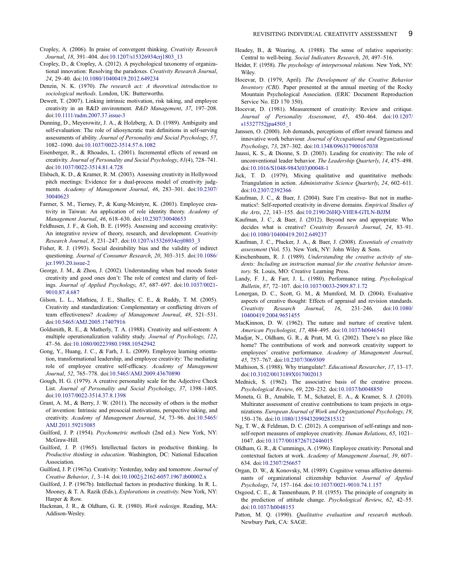- <span id="page-9-0"></span>Cropley, A. (2006). In praise of convergent thinking. Creativity Research Journal, 18, 391–404. doi:[10.1207/s15326934crj1803\\_13](http://dx.doi.org/10.1207/s15326934crj1803%5F13)
- Cropley, D., & Cropley, A. (2012). A psychological taxonomy of organizational innovation: Resolving the paradoxes. Creativity Research Journal, 24, 29–40. doi:[10.1080/10400419.2012.649234](http://dx.doi.org/10.1080/10400419.2012.649234)
- Denzin, N. K. (1970). The research act: A theoretical introduction to sociological methods. London, UK: Butterworths.
- Dewett, T. (2007). Linking intrinsic motivation, risk taking, and employee creativity in an R&D environment. R&D Management, 37, 197–208. doi:[10.1111/radm.2007.37.issue-3](http://dx.doi.org/10.1111/radm.2007.37.issue-3)
- Dunning, D., Meyerowitz, J. A., & Holzberg, A. D. (1989). Ambiguity and self-evaluation: The role of idiosyncratic trait definitions in self-serving assessments of ability. Journal of Personality and Social Psychology, 57, 1082–1090. doi:[10.1037/0022-3514.57.6.1082](http://dx.doi.org/10.1037/0022-3514.57.6.1082)
- Eisenberger, R., & Rhoades, L. (2001). Incremental effects of reward on creativity. Journal of Personality and Social Psychology, 81(4), 728–741. doi:[10.1037/0022-3514.81.4.728](http://dx.doi.org/10.1037/0022-3514.81.4.728)
- Elsbach, K. D., & Kramer, R. M. (2003). Assessing creativity in Hollywood pitch meetings: Evidence for a dual-process model of creativity judgments. Academy of Management Journal, 46, 283–301. doi:[10.2307/](http://dx.doi.org/10.2307/30040623) [30040623](http://dx.doi.org/10.2307/30040623)
- Farmer, S. M., Tierney, P., & Kung-Mcintyre, K. (2003). Employee creativity in Taiwan: An application of role identity theory. Academy of Management Journal, 46, 618–630. doi:[10.2307/30040653](http://dx.doi.org/10.2307/30040653)
- Feldhusen, J. F., & Goh, B. E. (1995). Assessing and accessing creativity: An integrative review of theory, research, and development. Creativity Research Journal, 8, 231–247. doi:[10.1207/s15326934crj0803\\_3](http://dx.doi.org/10.1207/s15326934crj0803%5F3)
- Fisher, R. J. (1993). Social desirability bias and the validity of indirect questioning. Journal of Consumer Research, 20, 303–315. doi:[10.1086/](http://dx.doi.org/10.1086/jcr.1993.20.issue-2) [jcr.1993.20.issue-2](http://dx.doi.org/10.1086/jcr.1993.20.issue-2)
- George, J. M., & Zhou, J. (2002). Understanding when bad moods foster creativity and good ones don't: The role of context and clarity of feelings. Journal of Applied Psychology, 87, 687–697. doi:[10.1037/0021-](http://dx.doi.org/10.1037/0021-9010.87.4.687) [9010.87.4.687](http://dx.doi.org/10.1037/0021-9010.87.4.687)
- Gilson, L. L., Mathieu, J. E., Shalley, C. E., & Ruddy, T. M. (2005). Creativity and standardization: Complementary or conflicting drivers of team effectiveness? Academy of Management Journal, 48, 521–531. doi:[10.5465/AMJ.2005.17407916](http://dx.doi.org/10.5465/AMJ.2005.17407916)
- Goldsmith, R. E., & Matherly, T. A. (1988). Creativity and self-esteem: A multiple operationalization validity study. Journal of Psychology, 122, 47–56. doi:[10.1080/00223980.1988.10542942](http://dx.doi.org/10.1080/00223980.1988.10542942)
- Gong, Y., Huang, J. C., & Farh, J. L. (2009). Employee learning orientation, transformational leadership, and employee creativity: The mediating role of employee creative self-efficacy. Academy of Management Journal, 52, 765–778. doi:[10.5465/AMJ.2009.43670890](http://dx.doi.org/10.5465/AMJ.2009.43670890)
- Gough, H. G. (1979). A creative personality scale for the Adjective Check List. Journal of Personality and Social Psychology, 37, 1398–1405. doi:[10.1037/0022-3514.37.8.1398](http://dx.doi.org/10.1037/0022-3514.37.8.1398)
- Grant, A. M., & Berry, J. W. (2011). The necessity of others is the mother of invention: Intrinsic and prosocial motivations, perspective taking, and creativity. Academy of Management Journal, 54, 73–96. doi:[10.5465/](http://dx.doi.org/10.5465/AMJ.2011.59215085) [AMJ.2011.59215085](http://dx.doi.org/10.5465/AMJ.2011.59215085)
- Guilford, J. P. (1954). Psychometric methods (2nd ed.). New York, NY: McGraw-Hill.
- Guilford, J. P. (1965). Intellectual factors in productive thinking. In Productive thinking in education. Washington, DC: National Education Association.
- Guilford, J. P. (1967a). Creativity: Yesterday, today and tomorrow. Journal of Creative Behavior, 1, 3–14. doi:[10.1002/j.2162-6057.1967.tb00002.x](http://dx.doi.org/10.1002/j.2162-6057.1967.tb00002.x)
- Guilford, J. P. (1967b). Intellectual factors in productive thinking. In R. L. Mooney, & T. A. Razik (Eds.), Explorations in creativity. New York, NY: Harper & Row.
- Hackman, J. R., & Oldham, G. R. (1980). Work redesign. Reading, MA: Addison-Wesley.
- Headey, B., & Wearing, A. (1988). The sense of relative superiority: Central to well-being. Social Indicators Research, 20, 497–516.
- Heider, F. (1958). The psychology of interpersonal relations. New York, NY: Wiley.
- Hocevar, D. (1979, April). The Development of the Creative Behavior Inventory (CBI). Paper presented at the annual meeting of the Rocky Mountain Psychological Association. (ERIC Document Reproduction Service No. ED 170 350).
- Hocevar, D. (1981). Measurement of creativity: Review and critique. Journal of Personality Assessment, 45, 450–464. doi:[10.1207/](http://dx.doi.org/10.1207/s15327752jpa4505%5F1) [s15327752jpa4505\\_1](http://dx.doi.org/10.1207/s15327752jpa4505%5F1)
- Janssen, O. (2000). Job demands, perceptions of effort reward fairness and innovative work behaviour. Journal of Occupational and Organizational Psychology, 73, 287–302. doi:[10.1348/096317900167038](http://dx.doi.org/10.1348/096317900167038)
- Jaussi, K. S., & Dionne, S. D. (2003). Leading for creativity: The role of unconventional leader behavior. The Leadership Quarterly, 14, 475–498. doi:[10.1016/S1048-9843\(03\)00048-1](http://dx.doi.org/10.1016/S1048-9843(03)00048-1)
- Jick, T. D. (1979). Mixing qualitative and quantitative methods: Triangulation in action. Administrative Science Quarterly, 24, 602–611. doi:[10.2307/2392366](http://dx.doi.org/10.2307/2392366)
- Kaufman, J. C., & Baer, J. (2004). Sure I'm creative- But not in mathematics!: Self-reported creativity in diverse domains. Empirical Studies of the Arts, 22, 143–155. doi:[10.2190/26HQ-VHE8-GTLN-BJJM](http://dx.doi.org/10.2190/26HQ-VHE8-GTLN-BJJM)
- Kaufman, J. C., & Baer, J. (2012). Beyond new and appropriate: Who decides what is creative? Creativity Research Journal, 24, 83–91. doi:[10.1080/10400419.2012.649237](http://dx.doi.org/10.1080/10400419.2012.649237)
- Kaufman, J. C., Plucker, J. A., & Baer, J. (2008). Essentials of creativity assessment (Vol. 53). New York, NY: John Wiley & Sons.
- Kirschenbaum, R. J. (1989). Understanding the creative activity of students: Including an instruction manual for the creative behavior inventory. St. Louis, MO: Creative Learning Press.
- Landy, F. J., & Farr, J. L. (1980). Performance rating. Psychological Bulletin, 87, 72–107. doi:[10.1037/0033-2909.87.1.72](http://dx.doi.org/10.1037/0033-2909.87.1.72)
- Lonergan, D. C., Scott, G. M., & Mumford, M. D. (2004). Evaluative aspects of creative thought: Effects of appraisal and revision standards. Creativity Research Journal, 16, 231–246. doi:[10.1080/](http://dx.doi.org/10.1080/10400419.2004.9651455) [10400419.2004.9651455](http://dx.doi.org/10.1080/10400419.2004.9651455)
- MacKinnon, D. W. (1962). The nature and nurture of creative talent. American Psychologist, 17, 484–495. doi:[10.1037/h0046541](http://dx.doi.org/10.1037/h0046541)
- Madjar, N., Oldham, G. R., & Pratt, M. G. (2002). There's no place like home? The contributions of work and nonwork creativity support to employees' creative performance. Academy of Management Journal, 45, 757–767. doi:[10.2307/3069309](http://dx.doi.org/10.2307/3069309)
- Mathison, S. (1988). Why triangulate?. Educational Researcher, 17, 13–17. doi:[10.3102/0013189X017002013](http://dx.doi.org/10.3102/0013189X017002013)
- Mednick, S. (1962). The associative basis of the creative process. Psychological Review, 69, 220–232. doi:[10.1037/h0048850](http://dx.doi.org/10.1037/h0048850)
- Moneta, G. B., Amabile, T. M., Schatzel, E. A., & Kramer, S. J. (2010). Multirater assessment of creative contributions to team projects in organizations. European Journal of Work and Organizational Psychology, 19, 150–176. doi:[10.1080/13594320902815312](http://dx.doi.org/10.1080/13594320902815312)
- Ng, T. W., & Feldman, D. C. (2012). A comparison of self-ratings and nonself-report measures of employee creativity. Human Relations, 65, 1021– 1047. doi:[10.1177/0018726712446015](http://dx.doi.org/10.1177/0018726712446015)
- Oldham, G. R., & Cummings, A. (1996). Employee creativity: Personal and contextual factors at work. Academy of Management Journal, 39, 607– 634. doi:[10.2307/256657](http://dx.doi.org/10.2307/256657)
- Organ, D. W., & Konovsky, M. (1989). Cognitive versus affective determinants of organizational citizenship behavior. Journal of Applied Psychology, 74, 157–164. doi:[10.1037/0021-9010.74.1.157](http://dx.doi.org/10.1037/0021-9010.74.1.157)
- Osgood, C. E., & Tannenbaum, P. H. (1955). The principle of congruity in the prediction of attitude change. Psychological Review, 62, 42–55. doi:[10.1037/h0048153](http://dx.doi.org/10.1037/h0048153)
- Patton, M. Q. (1990). Qualitative evaluation and research methods. Newbury Park, CA: SAGE.